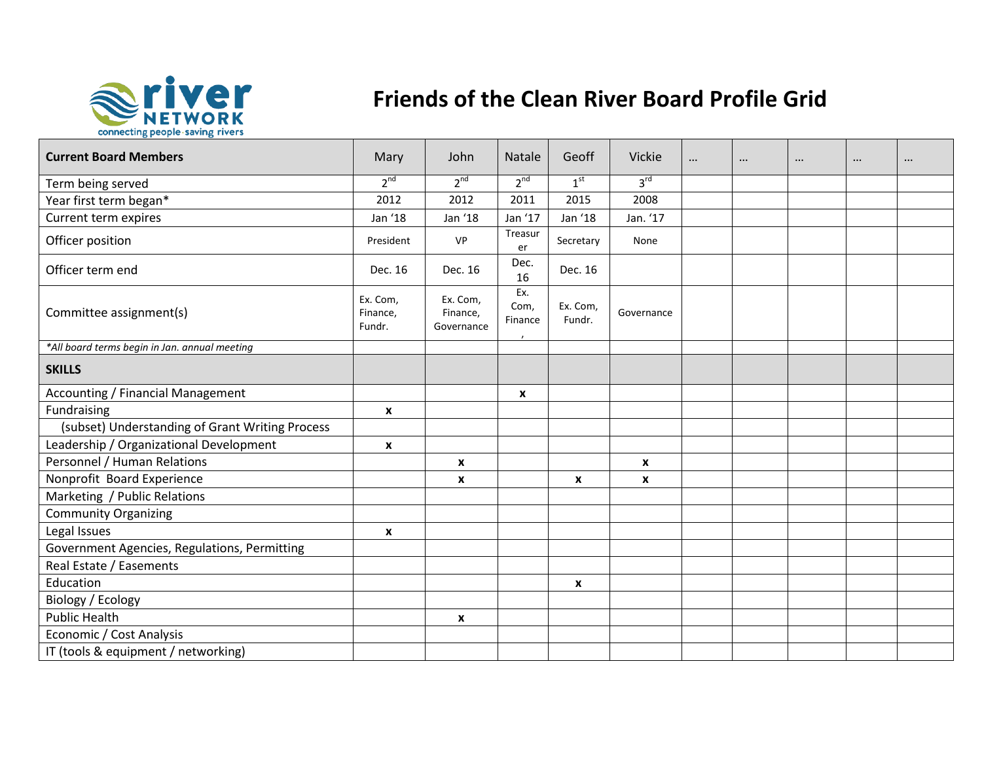

## **Friends of the Clean River Board Profile Grid**

| <b>Current Board Members</b>                    | Mary                           | John                               | Natale                            | Geoff              | Vickie             | <br>$\cdots$ | $\cdots$ | $\cdots$ |  |
|-------------------------------------------------|--------------------------------|------------------------------------|-----------------------------------|--------------------|--------------------|--------------|----------|----------|--|
| Term being served                               | $2^{nd}$                       | $2^{nd}$                           | $2^{nd}$                          | 1 <sup>st</sup>    | 3 <sup>rd</sup>    |              |          |          |  |
| Year first term began*                          | 2012                           | 2012                               | 2011                              | 2015               | 2008               |              |          |          |  |
| Current term expires                            | Jan '18                        | Jan '18                            | Jan '17                           | Jan '18            | Jan. '17           |              |          |          |  |
| Officer position                                | President                      | <b>VP</b>                          | Treasur<br>er                     | Secretary          | None               |              |          |          |  |
| Officer term end                                | Dec. 16                        | Dec. 16                            | Dec.<br>16                        | Dec. 16            |                    |              |          |          |  |
| Committee assignment(s)                         | Ex. Com,<br>Finance,<br>Fundr. | Ex. Com,<br>Finance,<br>Governance | Ex.<br>Com,<br>Finance<br>$\cdot$ | Ex. Com,<br>Fundr. | Governance         |              |          |          |  |
| *All board terms begin in Jan. annual meeting   |                                |                                    |                                   |                    |                    |              |          |          |  |
| <b>SKILLS</b>                                   |                                |                                    |                                   |                    |                    |              |          |          |  |
| <b>Accounting / Financial Management</b>        |                                |                                    | X                                 |                    |                    |              |          |          |  |
| Fundraising                                     | $\pmb{\chi}$                   |                                    |                                   |                    |                    |              |          |          |  |
| (subset) Understanding of Grant Writing Process |                                |                                    |                                   |                    |                    |              |          |          |  |
| Leadership / Organizational Development         | $\boldsymbol{x}$               |                                    |                                   |                    |                    |              |          |          |  |
| Personnel / Human Relations                     |                                | X                                  |                                   |                    | X                  |              |          |          |  |
| Nonprofit Board Experience                      |                                | X                                  |                                   | X                  | $\pmb{\mathsf{x}}$ |              |          |          |  |
| Marketing / Public Relations                    |                                |                                    |                                   |                    |                    |              |          |          |  |
| <b>Community Organizing</b>                     |                                |                                    |                                   |                    |                    |              |          |          |  |
| Legal Issues                                    | $\boldsymbol{x}$               |                                    |                                   |                    |                    |              |          |          |  |
| Government Agencies, Regulations, Permitting    |                                |                                    |                                   |                    |                    |              |          |          |  |
| Real Estate / Easements                         |                                |                                    |                                   |                    |                    |              |          |          |  |
| Education                                       |                                |                                    |                                   | X                  |                    |              |          |          |  |
| Biology / Ecology                               |                                |                                    |                                   |                    |                    |              |          |          |  |
| <b>Public Health</b>                            |                                | X                                  |                                   |                    |                    |              |          |          |  |
| Economic / Cost Analysis                        |                                |                                    |                                   |                    |                    |              |          |          |  |
| IT (tools & equipment / networking)             |                                |                                    |                                   |                    |                    |              |          |          |  |